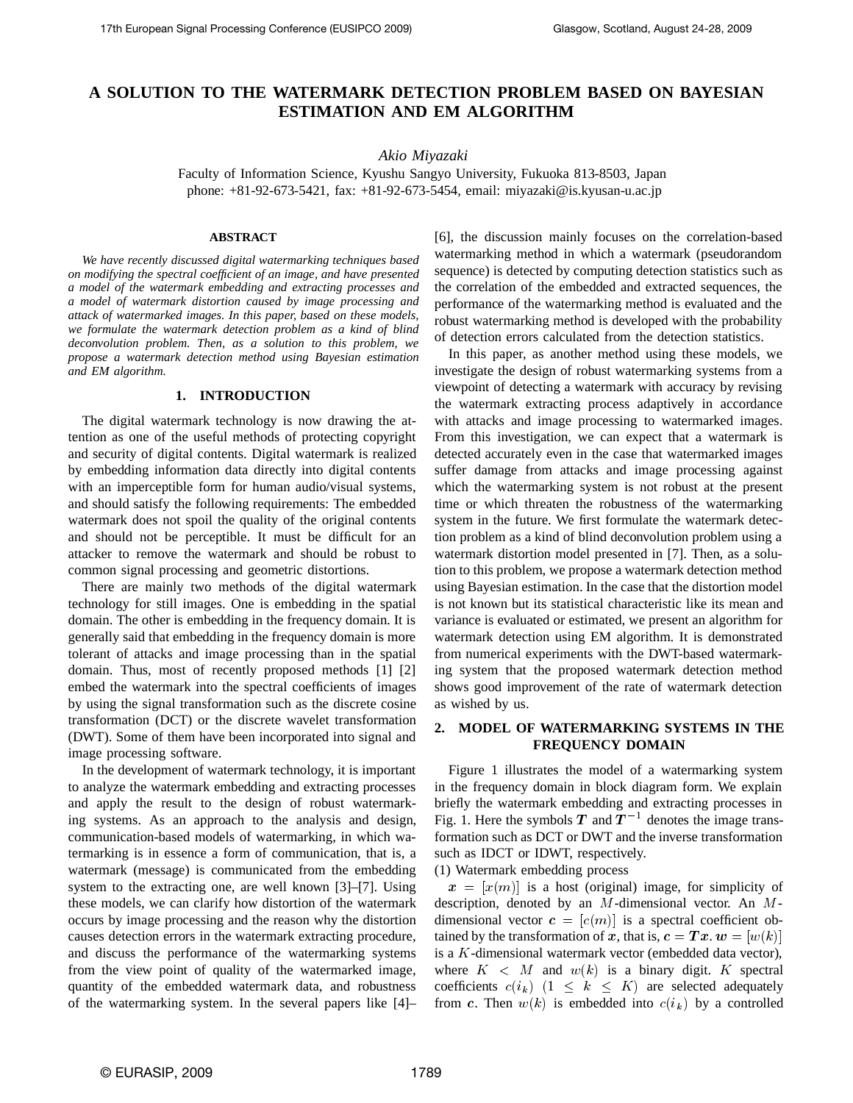# **A SOLUTION TO THE WATERMARK DETECTION PROBLEM BASED ON BAYESIAN ESTIMATION AND EM ALGORITHM**

### *Akio Miyazaki*

Faculty of Information Science, Kyushu Sangyo University, Fukuoka 813-8503, Japan phone: +81-92-673-5421, fax: +81-92-673-5454, email: miyazaki@is.kyusan-u.ac.jp

#### **ABSTRACT**

*We have recently discussed digital watermarking techniques based on modifying the spectral coefficient of an image, and have presented a model of the watermark embedding and extracting processes and a model of watermark distortion caused by image processing and attack of watermarked images. In this paper, based on these models, we formulate the watermark detection problem as a kind of blind deconvolution problem. Then, as a solution to this problem, we propose a watermark detection method using Bayesian estimation and EM algorithm.*

#### **1. INTRODUCTION**

The digital watermark technology is now drawing the attention as one of the useful methods of protecting copyright and security of digital contents. Digital watermark is realized by embedding information data directly into digital contents with an imperceptible form for human audio/visual systems, and should satisfy the following requirements: The embedded watermark does not spoil the quality of the original contents and should not be perceptible. It must be difficult for an attacker to remove the watermark and should be robust to common signal processing and geometric distortions.

There are mainly two methods of the digital watermark technology for still images. One is embedding in the spatial domain. The other is embedding in the frequency domain. It is generally said that embedding in the frequency domain is more tolerant of attacks and image processing than in the spatial domain. Thus, most of recently proposed methods [1] [2] embed the watermark into the spectral coefficients of images by using the signal transformation such as the discrete cosine transformation (DCT) or the discrete wavelet transformation (DWT). Some of them have been incorporated into signal and image processing software.

In the development of watermark technology, it is important to analyze the watermark embedding and extracting processes and apply the result to the design of robust watermarking systems. As an approach to the analysis and design, communication-based models of watermarking, in which watermarking is in essence a form of communication, that is, a watermark (message) is communicated from the embedding system to the extracting one, are well known [3]–[7]. Using these models, we can clarify how distortion of the watermark occurs by image processing and the reason why the distortion causes detection errors in the watermark extracting procedure, and discuss the performance of the watermarking systems from the view point of quality of the watermarked image, quantity of the embedded watermark data, and robustness of the watermarking system. In the several papers like [4]–

[6], the discussion mainly focuses on the correlation-based watermarking method in which a watermark (pseudorandom sequence) is detected by computing detection statistics such as the correlation of the embedded and extracted sequences, the performance of the watermarking method is evaluated and the robust watermarking method is developed with the probability of detection errors calculated from the detection statistics.

In this paper, as another method using these models, we investigate the design of robust watermarking systems from a viewpoint of detecting a watermark with accuracy by revising the watermark extracting process adaptively in accordance with attacks and image processing to watermarked images. From this investigation, we can expect that a watermark is detected accurately even in the case that watermarked images suffer damage from attacks and image processing against which the watermarking system is not robust at the present time or which threaten the robustness of the watermarking system in the future. We first formulate the watermark detection problem as a kind of blind deconvolution problem using a watermark distortion model presented in [7]. Then, as a solution to this problem, we propose a watermark detection method using Bayesian estimation. In the case that the distortion model is not known but its statistical characteristic like its mean and variance is evaluated or estimated, we present an algorithm for watermark detection using EM algorithm. It is demonstrated from numerical experiments with the DWT-based watermarking system that the proposed watermark detection method shows good improvement of the rate of watermark detection as wished by us.

### **2. MODEL OF WATERMARKING SYSTEMS IN THE FREQUENCY DOMAIN**

Figure 1 illustrates the model of a watermarking system in the frequency domain in block diagram form. We explain briefly the watermark embedding and extracting processes in Fig. 1. Here the symbols  $T$  and  $T^{-1}$  denotes the image transformation such as DCT or DWT and the inverse transformation such as IDCT or IDWT, respectively.

(1) Watermark embedding process

 $x = [x(m)]$  is a host (original) image, for simplicity of description, denoted by an  $M$ -dimensional vector. An  $M$ dimensional vector  $\mathbf{c} = [c(m)]$  is a spectral coefficient obtained by the transformation of x, that is,  $\boldsymbol{c} = \boldsymbol{T} \boldsymbol{x}$ .  $\boldsymbol{w} = [w(k)]$ is a  $K$ -dimensional watermark vector (embedded data vector), where  $K < M$  and  $w(k)$  is a binary digit. K spectral coefficients  $c(i_k)$   $(1 \leq k \leq K)$  are selected adequately from c. Then  $w(k)$  is embedded into  $c(i_k)$  by a controlled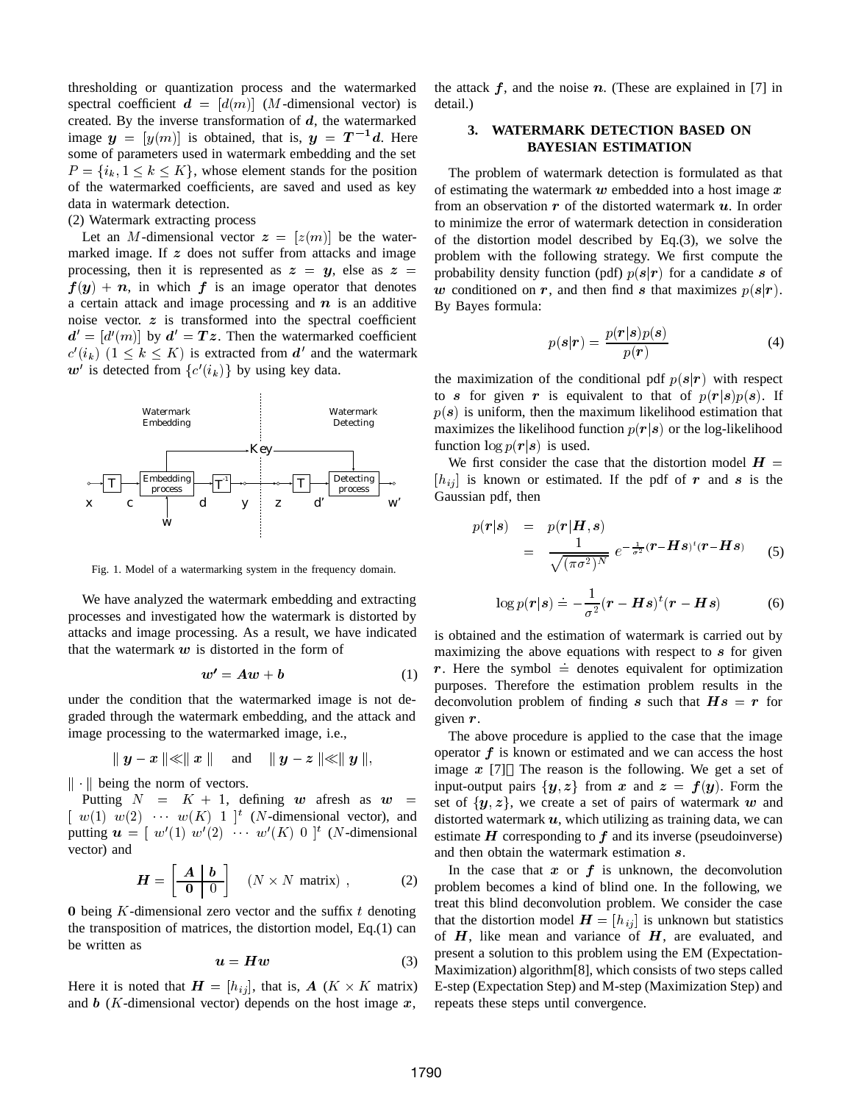thresholding or quantization process and the watermarked spectral coefficient  $\mathbf{d} = [d(m)]$  (*M*-dimensional vector) is created. By the inverse transformation of  $d$ , the watermarked image  $y = [y(m)]$  is obtained, that is,  $y = T^{-1}d$ . Here some of parameters used in watermark embedding and the set  $P = \{i_k, 1 \leq k \leq K\}$ , whose element stands for the position of the watermarked coefficients, are saved and used as key data in watermark detection.

(2) Watermark extracting process

Let an M-dimensional vector  $z = [z(m)]$  be the watermarked image. If  $z$  does not suffer from attacks and image processing, then it is represented as  $z = y$ , else as  $z = z$  $f(y) + n$ , in which f is an image operator that denotes a certain attack and image processing and  $n$  is an additive noise vector.  $z$  is transformed into the spectral coefficient  $d' = [d'(m)]$  by  $d' = Tz$ . Then the watermarked coefficient  $c'(i_k)$   $(1 \leq k \leq K)$  is extracted from d' and the watermark  $w'$  is detected from  $\{c'(i_k)\}\$ by using key data.



Fig. 1. Model of a watermarking system in the frequency domain.

We have analyzed the watermark embedding and extracting processes and investigated how the watermark is distorted by attacks and image processing. As a result, we have indicated that the watermark  $w$  is distorted in the form of

$$
w' = Aw + b \tag{1}
$$

under the condition that the watermarked image is not degraded through the watermark embedding, and the attack and image processing to the watermarked image, i.e.,

$$
\parallel y-x\parallel\ll\parallel x\parallel\quad\text{ and }\quad \parallel y-z\parallel\ll\parallel y\parallel,
$$

 $\|\cdot\|$  being the norm of vectors.

Putting  $N = K + 1$ , defining w afresh as w  $\left[ w(1) w(2) \cdots w(K) 1 \right]^t$  (*N*-dimensional vector), and putting  $\mathbf{u} = [w'(1) \ w'(2) \ \cdots \ w'(K) \ 0]^t$  (*N*-dimensional vector) and

$$
H = \begin{bmatrix} A & b \\ \hline 0 & 0 \end{bmatrix} \quad (N \times N \text{ matrix}) , \tag{2}
$$

0 being  $K$ -dimensional zero vector and the suffix  $t$  denoting the transposition of matrices, the distortion model, Eq.(1) can be written as

$$
u = H w \tag{3}
$$

Here it is noted that  $H = [h_{ij}]$ , that is,  $A (K \times K)$  matrix) E-st and  $\mathbf{b}$  (K-dimensional vector) depends on the host image  $\mathbf{x}$ ,

the attack  $f$ , and the noise  $n$ . (These are explained in [7] in detail.)

## **3. WATERMARK DETECTION BASED ON BAYESIAN ESTIMATION**

The problem of watermark detection is formulated as that of estimating the watermark  $w$  embedded into a host image  $x$ from an observation  $r$  of the distorted watermark  $u$ . In order to minimize the error of watermark detection in consideration of the distortion model described by Eq.(3), we solve the problem with the following strategy. We first compute the probability density function (pdf)  $p(s|r)$  for a candidate s of w conditioned on r, and then find s that maximizes  $p(s|r)$ . By Bayes formula:

$$
p(s|r) = \frac{p(r|s)p(s)}{p(r)}
$$
(4)

the maximization of the conditional pdf  $p(s|r)$  with respect to s for given r is equivalent to that of  $p(r|s)p(s)$ . If  $p(s)$  is uniform, then the maximum likelihood estimation that maximizes the likelihood function  $p(r|s)$  or the log-likelihood function  $\log p(r|s)$  is used.

We first consider the case that the distortion model  $H =$  $[h_{ij}]$  is known or estimated. If the pdf of r and s is the Gaussian pdf, then

$$
p(\mathbf{r}|\mathbf{s}) = p(\mathbf{r}|\mathbf{H}, \mathbf{s})
$$
  
= 
$$
\frac{1}{\sqrt{(\pi\sigma^2)^N}} e^{-\frac{1}{\sigma^2}(\mathbf{r} - \mathbf{H}\mathbf{s})^t(\mathbf{r} - \mathbf{H}\mathbf{s})}
$$
(5)

$$
\log p(\mathbf{r}|s) \doteq -\frac{1}{\sigma^2} (\mathbf{r} - \mathbf{H}s)^t (\mathbf{r} - \mathbf{H}s) \tag{6}
$$

is obtained and the estimation of watermark is carried out by maximizing the above equations with respect to  $s$  for given r. Here the symbol  $=$  denotes equivalent for optimization purposes. Therefore the estimation problem results in the deconvolution problem of finding s such that  $Hs = r$  for given  $r$ .

The above procedure is applied to the case that the image operator  $f$  is known or estimated and we can access the host image  $x$  [7] The reason is the following. We get a set of input-output pairs  $\{y, z\}$  from x and  $z = f(y)$ . Form the set of  $\{y, z\}$ , we create a set of pairs of watermark w and distorted watermark  $u$ , which utilizing as training data, we can estimate  $H$  corresponding to  $f$  and its inverse (pseudoinverse) and then obtain the watermark estimation s.

In the case that  $x$  or  $f$  is unknown, the deconvolution problem becomes a kind of blind one. In the following, we treat this blind deconvolution problem. We consider the case that the distortion model  $H = [h_{ij}]$  is unknown but statistics of  $H$ , like mean and variance of  $H$ , are evaluated, and present a solution to this problem using the EM (Expectation-Maximization) algorithm[8], which consists of two steps called E-step (Expectation Step) and M-step (Maximization Step) and repeats these steps until convergence.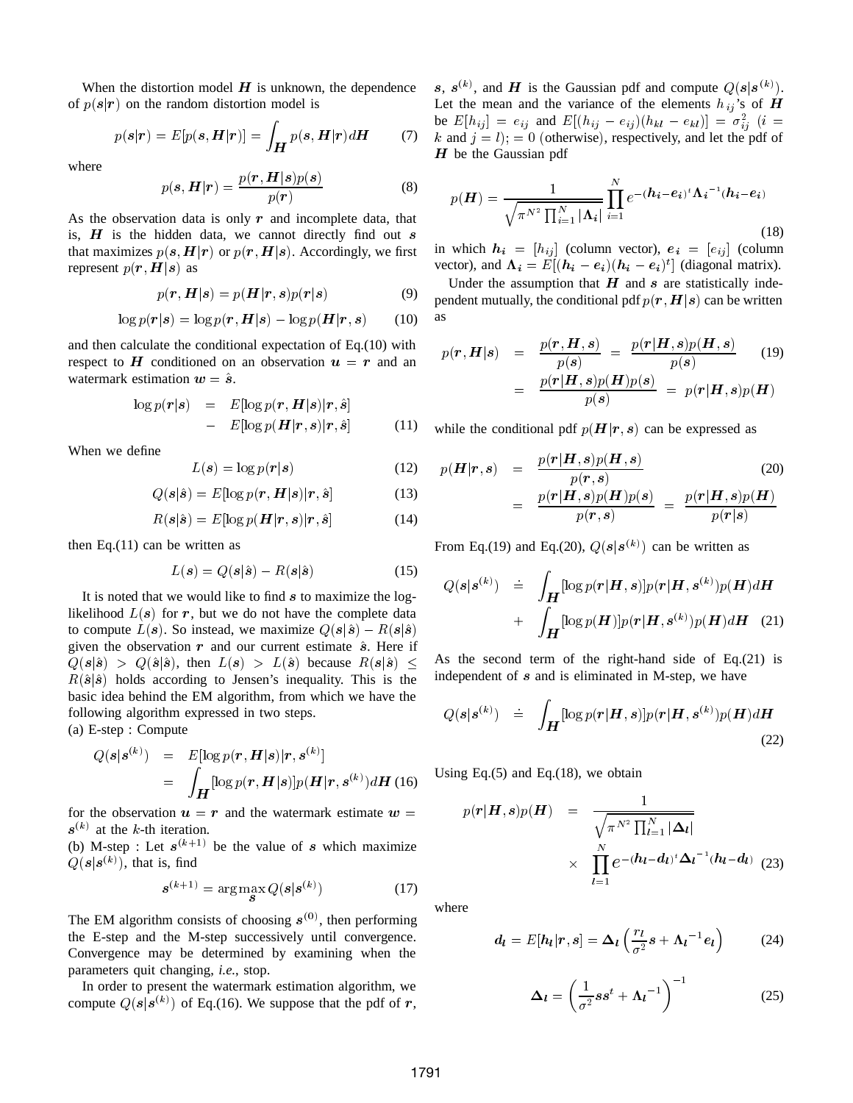When the distortion model  $H$  is unknown, the dependence of  $p(s|r)$  on the random distortion model is

$$
p(s|\mathbf{r}) = E[p(\mathbf{s}, \mathbf{H}|\mathbf{r})] = \int_{\mathbf{H}} p(\mathbf{s}, \mathbf{H}|\mathbf{r}) d\mathbf{H}
$$
 (7)

where

$$
p(s, \mathbf{H}|\mathbf{r}) = \frac{p(\mathbf{r}, \mathbf{H}|s)p(s)}{p(\mathbf{r})}
$$
(8)

As the observation data is only  $r$  and incomplete data, that is,  $H$  is the hidden data, we cannot directly find out  $s$ that maximizes  $p(s, H|r)$  or  $p(r, H|s)$ . Accordingly, we first represent  $p(r, H|s)$  as

$$
p(\mathbf{r}, \mathbf{H}|\mathbf{s}) = p(\mathbf{H}|\mathbf{r}, \mathbf{s})p(\mathbf{r}|\mathbf{s}) \tag{9}
$$

$$
\log p(\mathbf{r}|\mathbf{s}) = \log p(\mathbf{r}, \mathbf{H}|\mathbf{s}) - \log p(\mathbf{H}|\mathbf{r}, \mathbf{s}) \tag{10}
$$

and then calculate the conditional expectation of Eq.(10) with respect to H conditioned on an observation  $u = r$  and an watermark estimation  $w = \hat{s}$ .

$$
\log p(\mathbf{r}|s) = E[\log p(\mathbf{r}, \mathbf{H}|s)|\mathbf{r}, \hat{s}] - E[\log p(\mathbf{H}|\mathbf{r}, s)|\mathbf{r}, \hat{s}]
$$
(11)

When we define

$$
L(s) = \log p(r|s)
$$
 (12)

$$
Q(s|\hat{s}) = E[\log p(\mathbf{r}, \mathbf{H}|s)|\mathbf{r}, \hat{s}] \tag{13}
$$

$$
R(s|\hat{s}) = E[\log p(\boldsymbol{H}|\boldsymbol{r}, s)|\boldsymbol{r}, \hat{s}] \tag{14}
$$

then Eq. $(11)$  can be written as

$$
L(s) = Q(s|\hat{s}) - R(s|\hat{s})\tag{15}
$$

It is noted that we would like to find  $s$  to maximize the loglikelihood  $L(s)$  for r, but we do not have the complete data to compute  $L(s)$ . So instead, we maximize  $Q(s|\hat{s}) - R(s|\hat{s})$ given the observation  $r$  and our current estimate  $\hat{s}$ . Here if  $Q(s|\hat{s}) > Q(\hat{s}|\hat{s})$ , then  $L(s) > L(\hat{s})$  because  $R(s|\hat{s}) \leq$  As the seq  $R(\hat{\boldsymbol{s}}|\hat{\boldsymbol{s}})$  holds according to Jensen's inequality. This is the basic idea behind the EM algorithm, from which we have the following algorithm expressed in two steps.

(a) E-step : Compute

$$
Q(s|s^{(k)}) = E[\log p(\mathbf{r}, \mathbf{H}|s)|\mathbf{r}, s^{(k)}]
$$
  
= 
$$
\int_{\mathbf{H}} [\log p(\mathbf{r}, \mathbf{H}|s)] p(\mathbf{H}|\mathbf{r}, s^{(k)}) d\mathbf{H}
$$
 (16)

for the observation  $u = r$  and the watermark estimate  $w =$  $s^{(k)}$  at the k-th iteration.

(b) M-step : Let  $s^{(k+1)}$  be the value of s which maximize  $Q(s|s^{(k)})$ , that is, find

$$
\mathbf{s}^{(k+1)} = \arg\max_{\mathbf{s}} Q(\mathbf{s}|\mathbf{s}^{(k)})
$$
(17)

The EM algorithm consists of choosing  $s^{(0)}$ , then performing the E-step and the M-step successively until convergence. Convergence may be determined by examining when the parameters quit changing, *i.e.*, stop.

In order to present the watermark estimation algorithm, we compute  $Q(s|s^{(k)})$  of Eq.(16). We suppose that the pdf of r,

s,  $H(r)dH$  (7) k and  $j=l$ ;  $=0$  (otherwise), respectively, and let the pdf of s,  $s^{(k)}$ , and H is the Gaussian pdf and compute  $Q(s|s^{(k)})$ . Let the mean and the variance of the elements  $h_{ij}$ 's of H be  $E[h_{ij}] = e_{ij}$  and  $E[(h_{ij} - e_{ij})(h_{kl} - e_{kl})] = \sigma_{ij}^2$  (*i* =  $H$  be the Gaussian pdf

$$
p(\boldsymbol{H}) = \frac{1}{\sqrt{\pi^{N^2} \prod_{i=1}^N |\boldsymbol{\Lambda}_i|}} \prod_{i=1}^N e^{-(\boldsymbol{h}_i - \boldsymbol{e}_i)^t \boldsymbol{\Lambda}_i^{-1} (\boldsymbol{h}_i - \boldsymbol{e}_i)}
$$
(18)

in which  $h_i = [h_{ij}]$  (column vector),  $e_i = [e_{ij}]$  (column vector), and  $\Lambda_i = E[(h_i - e_i)(h_i - e_i)^t]$  (diagonal matrix).

Under the assumption that  $H$  and  $s$  are statistically independent mutually, the conditional pdf  $p(r, H | s)$  can be written as

$$
p(\mathbf{r}, \mathbf{H}|s) = \frac{p(\mathbf{r}, \mathbf{H}, s)}{p(s)} = \frac{p(\mathbf{r}| \mathbf{H}, s)p(\mathbf{H}, s)}{p(s)} \quad (19)
$$

$$
= \frac{p(\mathbf{r}| \mathbf{H}, s)p(\mathbf{H})p(s)}{p(s)} = p(\mathbf{r}| \mathbf{H}, s)p(\mathbf{H})
$$

while the conditional pdf  $p(H|r, s)$  can be expressed as

$$
p(\mathbf{H}|\mathbf{r},s) = \frac{p(\mathbf{r}|\mathbf{H},s)p(\mathbf{H},s)}{p(\mathbf{r},s)}
$$
(20)  

$$
= \frac{p(\mathbf{r}|\mathbf{H},s)p(\mathbf{H})p(s)}{p(\mathbf{r},s)} = \frac{p(\mathbf{r}|\mathbf{H},s)p(\mathbf{H})}{p(\mathbf{r}|s)}
$$

From Eq.(19) and Eq.(20),  $Q(s|s^{(k)})$  can be written as

$$
Q(s|s^{(k)}) = \int_{\mathbf{H}} [\log p(\mathbf{r}|\mathbf{H}, s)] p(\mathbf{r}|\mathbf{H}, s^{(k)}) p(\mathbf{H}) d\mathbf{H}
$$
  
+ 
$$
\int_{\mathbf{H}} [\log p(\mathbf{H})] p(\mathbf{r}|\mathbf{H}, s^{(k)}) p(\mathbf{H}) d\mathbf{H}
$$
 (21)

As the second term of the right-hand side of Eq.(21) is independent of  $s$  and is eliminated in M-step, we have

$$
Q(s|s^{(k)}) = \int_{\mathbf{H}} [\log p(\mathbf{r}|\mathbf{H}, s)] p(\mathbf{r}|\mathbf{H}, s^{(k)}) p(\mathbf{H}) d\mathbf{H}
$$
\n(22)

 $^{(k)}$   $(dH (16)$  Using Eq.(5) and Eq.(18), we obtain

$$
p(r|\mathbf{H}, s)p(\mathbf{H}) = \frac{1}{\sqrt{\pi^{N^2} \prod_{l=1}^{N} |\Delta_l|}}\times \prod_{l=1}^{N} e^{-(\mathbf{h}_l - \mathbf{d}_l)^t \Delta_l^{-1} (\mathbf{h}_l - \mathbf{d}_l)}
$$
(23)

where

$$
d_l = E[h_l|r, s] = \Delta_l \left( \frac{r_l}{\sigma^2} s + \Lambda_l^{-1} e_l \right) \tag{24}
$$

$$
\Delta_l = \left(\frac{1}{\sigma^2} s s^t + {\Lambda_l}^{-1}\right)^{-1}
$$
 (25)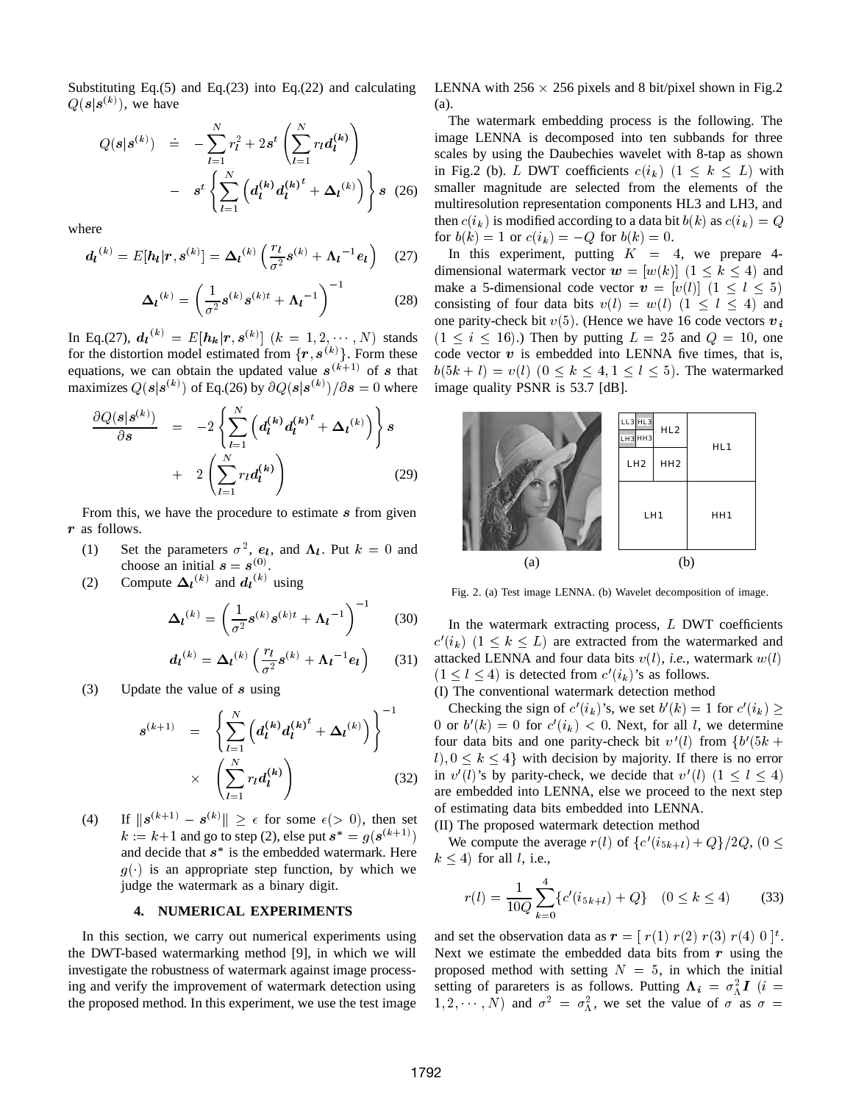Substituting Eq.(5) and Eq.(23) into Eq.(22) and calculating  $Q(s|s^{(k)})$ , we have

$$
Q(s|s^{(k)}) \quad \doteq \quad -\sum_{l=1}^{N} r_l^2 + 2s^t \left( \sum_{l=1}^{N} r_l d_l^{(k)} \right) \qquad \text{imag} \\ \qquad - \quad s^t \left\{ \sum_{l=1}^{N} \left( d_l^{(k)} d_l^{(k)}^t + \Delta_l^{(k)} \right) \right\} s \quad (26) \qquad \text{small} \\ \text{min} \\ \text{full} \\ \text{then}
$$

where

$$
d_l^{(k)} = E[h_l | r, s^{(k)}] = \Delta_l^{(k)} \left( \frac{r_l}{\sigma^2} s^{(k)} + \Lambda_l^{-1} e_l \right) \quad (27)
$$

$$
\Delta_l^{(k)} = \left(\frac{1}{\sigma^2} s^{(k)} s^{(k)t} + \Lambda_l^{-1}\right)^{-1}
$$
 (28)

In Eq.(27),  $d_l^{(k)} = E[h_k | r, s^{(k)}]$   $(k = 1, 2, \dots, N)$  stands for the distortion model estimated from  $\{r, s^{(k)}\}$ . Form these equations, we can obtain the updated value  $s^{(k+1)}$  of s that b maximizes  $Q(s|s^{(k)})$  of Eq.(26) by  $\partial Q(s|s^{(k)})/\partial s = 0$  where image

$$
\frac{\partial Q(s|s^{(k)})}{\partial s} = -2 \left\{ \sum_{l=1}^{N} \left( d_l^{(k)} d_l^{(k)}^t + \Delta_l^{(k)} \right) \right\} s + 2 \left( \sum_{l=1}^{N} r_l d_l^{(k)} \right)
$$
\n(29)

From this, we have the procedure to estimate  $s$  from given r as follows.

- (1) Set the parameters  $\sigma^2$ ,  $e_l$ , and  $\Lambda_l$ . Put  $k = 0$  and choose an initial  $s = s^{(0)}$ .
- (2) Compute  $\Delta_l^{(k)}$  and  $d_l^{(k)}$  using

$$
\Delta_l^{(k)} = \left(\frac{1}{\sigma^2} s^{(k)} s^{(k)t} + \Lambda_l^{-1}\right)^{-1}
$$
 (30)

$$
d_l^{(k)} = \Delta_l^{(k)} \left( \frac{r_l}{\sigma^2} s^{(k)} + \Lambda_l^{-1} e_l \right) \qquad (31)
$$

(3) Update the value of  $s$  using

$$
s^{(k+1)} = \left\{ \sum_{l=1}^{N} \left( d_l^{(k)} d_l^{(k)}^t + \Delta_l^{(k)} \right) \right\}^{-1} \qquad (1)
$$
  
 
$$
\times \left( \sum_{l=1}^{N} r_l d_l^{(k)} \right) \qquad (32)
$$

(4) If  $\|s^{(k+1)} - s^{(k)}\| \geq \epsilon$  for some  $\epsilon$  (> 0), then set  $k := k+1$  and go to step (2), else put  $s^* = g(s^{(k+1)})$   $\qquad \tilde{N}$ and decide that  $s^*$  is the embedded watermark. Here  $g(\cdot)$  is an appropriate step function, by which we judge the watermark as a binary digit.

### **4. NUMERICAL EXPERIMENTS**

In this section, we carry out numerical experiments using the DWT-based watermarking method [9], in which we will investigate the robustness of watermark against image processing and verify the improvement of watermark detection using the proposed method. In this experiment, we use the test image LENNA with  $256 \times 256$  pixels and 8 bit/pixel shown in Fig.2 (a).

 $s^{(k)}$  smaller magnitude are selected from the elements of the The watermark embedding process is the following. The image LENNA is decomposed into ten subbands for three scales by using the Daubechies wavelet with 8-tap as shown in Fig.2 (b). L DWT coefficients  $c(i_k)$   $(1 \leq k \leq L)$  with multiresolution representation components HL3 and LH3, and then  $c(i_k)$  is modified according to a data bit  $b(k)$  as  $c(i_k) = Q$ for  $b(k) = 1$  or  $c(i_k) = -Q$  for  $b(k) = 0$ .

> In this experiment, putting  $K = 4$ , we prepare 4dimensional watermark vector  $w = [w(k)]$   $(1 \le k \le 4)$  and make a 5-dimensional code vector  $\mathbf{v} = [v(l)]$   $(1 \le l \le 5)$ consisting of four data bits  $v(l) = w(l)$   $(1 \le l \le 4)$  and one parity-check bit  $v(5)$ . (Hence we have 16 code vectors  $v_i$  $(1 \le i \le 16)$ .) Then by putting  $L = 25$  and  $Q = 10$ , one code vector  $v$  is embedded into LENNA five times, that is,  $b(5k+l) = v(l)$   $(0 \le k \le 4, 1 \le l \le 5)$ . The watermarked image quality PSNR is 53.7 [dB].



Fig. 2. (a) Test image LENNA. (b) Wavelet decomposition of image.

In the watermark extracting process,  $L$  DWT coefficients  $c'(i_k)$   $(1 \leq k \leq L)$  are extracted from the watermarked and attacked LENNA and four data bits  $v(l)$ , *i.e.*, watermark  $w(l)$  $(1 \leq l \leq 4)$  is detected from  $c'(i_k)$ 's as follows.

(I) The conventional watermark detection method

Checking the sign of  $c'(i_k)$ 's, we set  $b'(k) = 1$  for  $c'(i_k) \ge$ 0 or  $b'(k) = 0$  for  $c'(i_k) < 0$ . Next, for all l, we determine four data bits and one parity-check bit  $v'(l)$  from  $\{b'(5k +$  $(l), 0 \leq k \leq 4$  with decision by majority. If there is no error in  $v'(l)$ 's by parity-check, we decide that  $v'(l)$   $(1 \le l \le 4)$ are embedded into LENNA, else we proceed to the next step of estimating data bits embedded into LENNA. (II) The proposed watermark detection method

We compute the average  $r(l)$  of  $\{c'(i_{5k+l})+Q\}/2Q$ ,  $(0 \leq$  $k < 4$ ) for all l, i.e.,

$$
r(l) = \frac{1}{10Q} \sum_{k=0}^{4} \{c'(i_{5k+l}) + Q\} \quad (0 \le k \le 4)
$$
 (33)

and set the observation data as  $r = [r(1) r(2) r(3) r(4) 0]^t$ . Next we estimate the embedded data bits from  $r$  using the proposed method with setting  $N = 5$ , in which the initial setting of parareters is as follows. Putting  $\Lambda_i = \sigma_A^2 I$  (*i* =  $(1, 2, \dots, N)$  and  $\sigma^2 = \sigma_{\Lambda}^2$ , we set the value of  $\sigma$  as  $\sigma =$